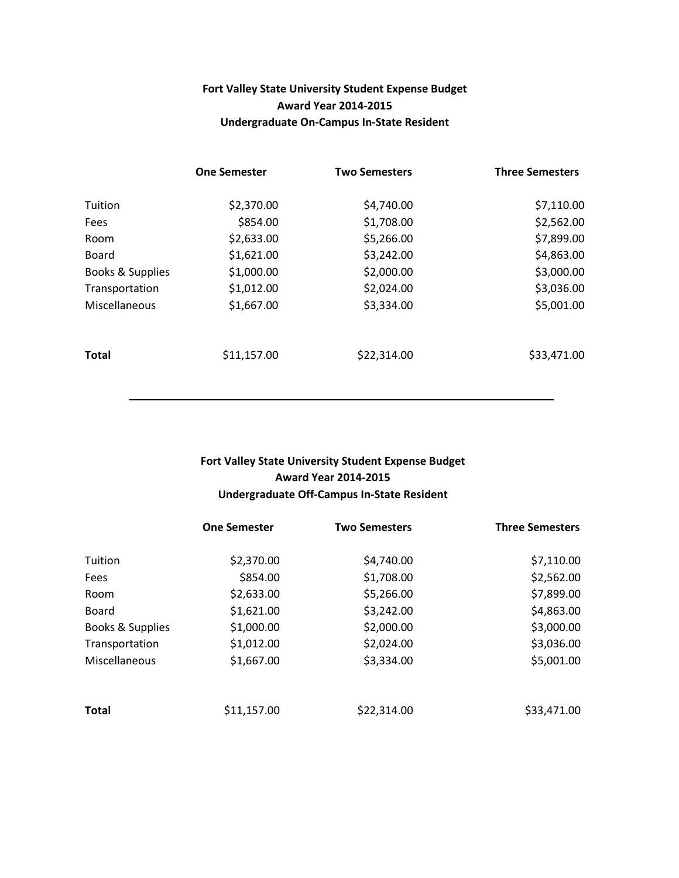### Fort Valley State University Student Expense Budget Award Year 2014-2015 Undergraduate On-Campus In-State Resident

|                  | <b>One Semester</b> | <b>Two Semesters</b> | <b>Three Semesters</b> |
|------------------|---------------------|----------------------|------------------------|
| Tuition          | \$2,370.00          | \$4,740.00           | \$7,110.00             |
| Fees             | \$854.00            | \$1,708.00           | \$2,562.00             |
| Room             | \$2,633.00          | \$5,266.00           | \$7,899.00             |
| Board            | \$1,621.00          | \$3,242.00           | \$4,863.00             |
| Books & Supplies | \$1,000.00          | \$2,000.00           | \$3,000.00             |
| Transportation   | \$1,012.00          | \$2,024.00           | \$3,036.00             |
| Miscellaneous    | \$1,667.00          | \$3,334.00           | \$5,001.00             |
| <b>Total</b>     | \$11,157.00         | \$22,314.00          | \$33,471.00            |

#### Fort Valley State University Student Expense Budget Award Year 2014-2015 Undergraduate Off-Campus In-State Resident

|                  | <b>One Semester</b> | <b>Two Semesters</b> | <b>Three Semesters</b> |
|------------------|---------------------|----------------------|------------------------|
| Tuition          | \$2,370.00          | \$4,740.00           | \$7,110.00             |
| Fees             | \$854.00            | \$1,708.00           | \$2,562.00             |
| Room             | \$2,633.00          | \$5,266.00           | \$7,899.00             |
| <b>Board</b>     | \$1,621.00          | \$3,242.00           | \$4,863.00             |
| Books & Supplies | \$1,000.00          | \$2,000.00           | \$3,000.00             |
| Transportation   | \$1,012.00          | \$2,024.00           | \$3,036.00             |
| Miscellaneous    | \$1,667.00          | \$3,334.00           | \$5,001.00             |
| <b>Total</b>     | \$11,157.00         | \$22,314.00          | \$33,471.00            |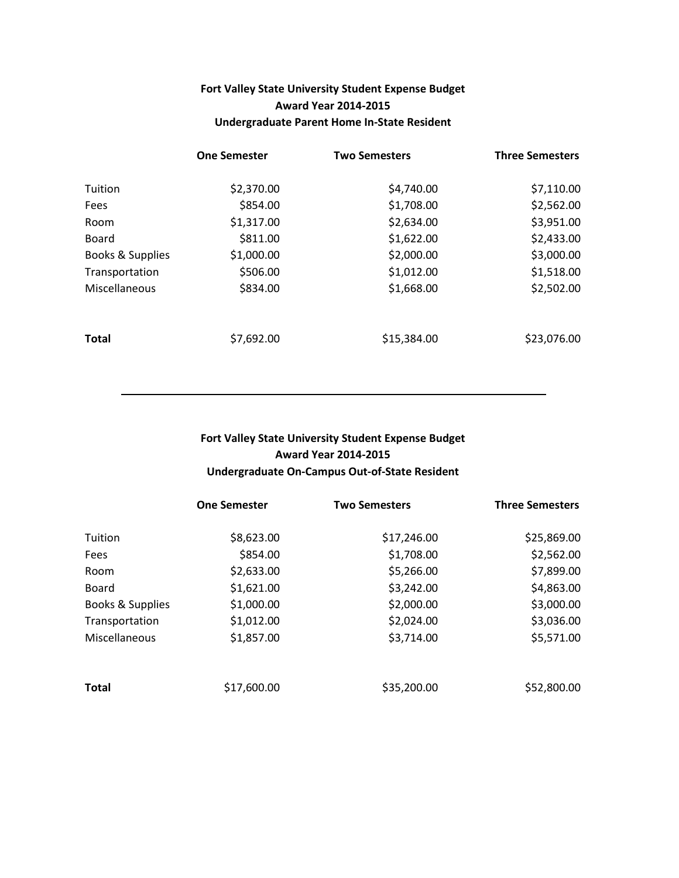# Fort Valley State University Student Expense Budget Award Year 2014-2015 Undergraduate Parent Home In-State Resident

|                  | <b>One Semester</b> | <b>Two Semesters</b> | <b>Three Semesters</b> |
|------------------|---------------------|----------------------|------------------------|
| Tuition          | \$2,370.00          | \$4,740.00           | \$7,110.00             |
| Fees             | \$854.00            | \$1,708.00           | \$2,562.00             |
| Room             | \$1,317.00          | \$2,634.00           | \$3,951.00             |
| <b>Board</b>     | \$811.00            | \$1,622.00           | \$2,433.00             |
| Books & Supplies | \$1,000.00          | \$2,000.00           | \$3,000.00             |
| Transportation   | \$506.00            | \$1,012.00           | \$1,518.00             |
| Miscellaneous    | \$834.00            | \$1,668.00           | \$2,502.00             |
| Total            | \$7,692.00          | \$15,384.00          | \$23,076.00            |

### Fort Valley State University Student Expense Budget Award Year 2014-2015 Undergraduate On-Campus Out-of-State Resident

|                  | <b>One Semester</b> | <b>Two Semesters</b> | <b>Three Semesters</b> |
|------------------|---------------------|----------------------|------------------------|
| Tuition          | \$8,623.00          | \$17,246.00          | \$25,869.00            |
| Fees             | \$854.00            | \$1,708.00           | \$2,562.00             |
| Room             | \$2,633.00          | \$5,266.00           | \$7,899.00             |
| <b>Board</b>     | \$1,621.00          | \$3,242.00           | \$4,863.00             |
| Books & Supplies | \$1,000.00          | \$2,000.00           | \$3,000.00             |
| Transportation   | \$1,012.00          | \$2,024.00           | \$3,036.00             |
| Miscellaneous    | \$1,857.00          | \$3,714.00           | \$5,571.00             |
| <b>Total</b>     | \$17,600.00         | \$35,200.00          | \$52,800.00            |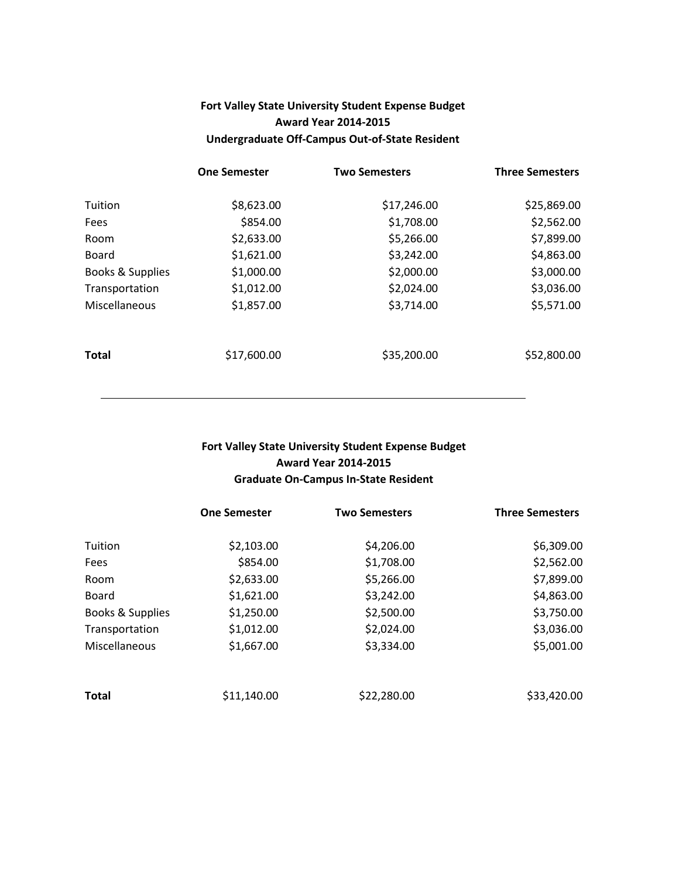# Fort Valley State University Student Expense Budget Award Year 2014-2015 Undergraduate Off-Campus Out-of-State Resident

|                  | <b>One Semester</b> | <b>Two Semesters</b> | <b>Three Semesters</b> |
|------------------|---------------------|----------------------|------------------------|
| Tuition          | \$8,623.00          | \$17,246.00          | \$25,869.00            |
| Fees             | \$854.00            | \$1,708.00           | \$2,562.00             |
| Room             | \$2,633.00          | \$5,266.00           | \$7,899.00             |
| <b>Board</b>     | \$1,621.00          | \$3,242.00           | \$4,863.00             |
| Books & Supplies | \$1,000.00          | \$2,000.00           | \$3,000.00             |
| Transportation   | \$1,012.00          | \$2,024.00           | \$3,036.00             |
| Miscellaneous    | \$1,857.00          | \$3,714.00           | \$5,571.00             |
| <b>Total</b>     | \$17,600.00         | \$35,200.00          | \$52,800.00            |

### Fort Valley State University Student Expense Budget Award Year 2014-2015 Graduate On-Campus In-State Resident

|                  | <b>One Semester</b> | <b>Two Semesters</b> | <b>Three Semesters</b> |
|------------------|---------------------|----------------------|------------------------|
| Tuition          | \$2,103.00          | \$4,206.00           | \$6,309.00             |
| Fees             | \$854.00            | \$1,708.00           | \$2,562.00             |
| Room             | \$2,633.00          | \$5,266.00           | \$7,899.00             |
| Board            | \$1,621.00          | \$3,242.00           | \$4,863.00             |
| Books & Supplies | \$1,250.00          | \$2,500.00           | \$3,750.00             |
| Transportation   | \$1,012.00          | \$2,024.00           | \$3,036.00             |
| Miscellaneous    | \$1,667.00          | \$3,334.00           | \$5,001.00             |
| <b>Total</b>     | \$11,140.00         | \$22,280.00          | \$33,420.00            |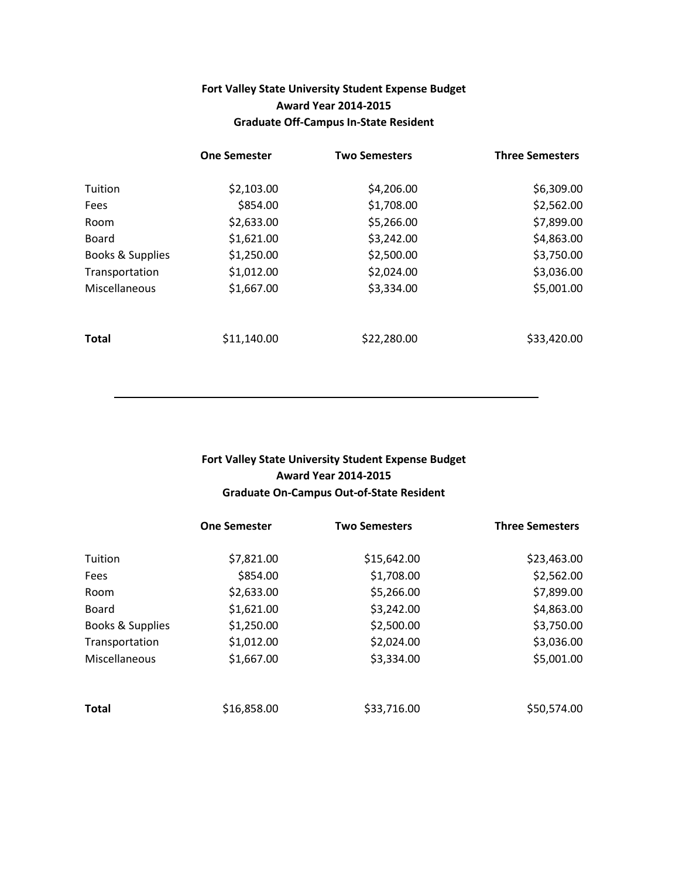### Fort Valley State University Student Expense Budget Award Year 2014-2015 Graduate Off-Campus In-State Resident

|                  | <b>One Semester</b> | <b>Two Semesters</b> | <b>Three Semesters</b> |
|------------------|---------------------|----------------------|------------------------|
| Tuition          | \$2,103.00          | \$4,206.00           | \$6,309.00             |
| Fees             | \$854.00            | \$1,708.00           | \$2,562.00             |
| Room             | \$2,633.00          | \$5,266.00           | \$7,899.00             |
| <b>Board</b>     | \$1,621.00          | \$3,242.00           | \$4,863.00             |
| Books & Supplies | \$1,250.00          | \$2,500.00           | \$3,750.00             |
| Transportation   | \$1,012.00          | \$2,024.00           | \$3,036.00             |
| Miscellaneous    | \$1,667.00          | \$3,334.00           | \$5,001.00             |
| Total            | \$11,140.00         | \$22,280.00          | \$33,420.00            |

# Fort Valley State University Student Expense Budget Award Year 2014-2015 Graduate On-Campus Out-of-State Resident

|                  | <b>One Semester</b> | <b>Two Semesters</b> | <b>Three Semesters</b> |
|------------------|---------------------|----------------------|------------------------|
| Tuition          | \$7,821.00          | \$15,642.00          | \$23,463.00            |
| <b>Fees</b>      | \$854.00            | \$1,708.00           | \$2,562.00             |
| Room             | \$2,633.00          | \$5,266.00           | \$7,899.00             |
| <b>Board</b>     | \$1,621.00          | \$3,242.00           | \$4,863.00             |
| Books & Supplies | \$1,250.00          | \$2,500.00           | \$3,750.00             |
| Transportation   | \$1,012.00          | \$2,024.00           | \$3,036.00             |
| Miscellaneous    | \$1,667.00          | \$3,334.00           | \$5,001.00             |
| <b>Total</b>     | \$16,858.00         | \$33,716.00          | \$50,574.00            |